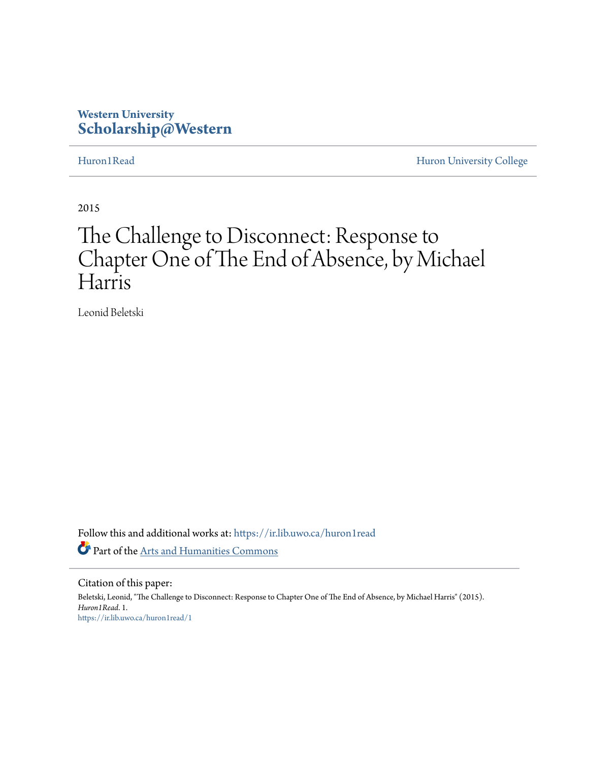## **Western University [Scholarship@Western](https://ir.lib.uwo.ca?utm_source=ir.lib.uwo.ca%2Fhuron1read%2F1&utm_medium=PDF&utm_campaign=PDFCoverPages)**

[Huron1Read](https://ir.lib.uwo.ca/huron1read?utm_source=ir.lib.uwo.ca%2Fhuron1read%2F1&utm_medium=PDF&utm_campaign=PDFCoverPages) [Huron University College](https://ir.lib.uwo.ca/huron?utm_source=ir.lib.uwo.ca%2Fhuron1read%2F1&utm_medium=PDF&utm_campaign=PDFCoverPages)

2015

# The Challenge to Disconnect: Response to Chapter One of The End of Absence, by Michael Harris

Leonid Beletski

Follow this and additional works at: [https://ir.lib.uwo.ca/huron1read](https://ir.lib.uwo.ca/huron1read?utm_source=ir.lib.uwo.ca%2Fhuron1read%2F1&utm_medium=PDF&utm_campaign=PDFCoverPages) Part of the [Arts and Humanities Commons](http://network.bepress.com/hgg/discipline/438?utm_source=ir.lib.uwo.ca%2Fhuron1read%2F1&utm_medium=PDF&utm_campaign=PDFCoverPages)

Citation of this paper:

Beletski, Leonid, "The Challenge to Disconnect: Response to Chapter One of The End of Absence, by Michael Harris" (2015). *Huron1Read*. 1. [https://ir.lib.uwo.ca/huron1read/1](https://ir.lib.uwo.ca/huron1read/1?utm_source=ir.lib.uwo.ca%2Fhuron1read%2F1&utm_medium=PDF&utm_campaign=PDFCoverPages)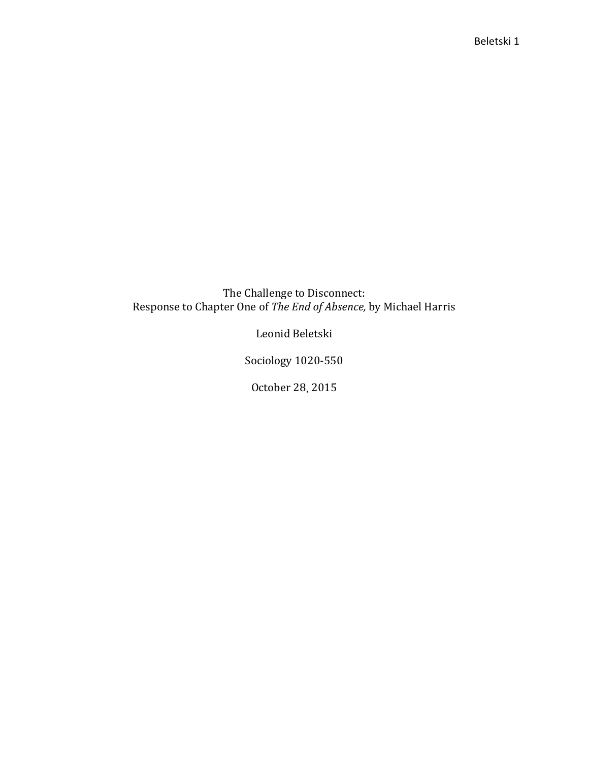### The Challenge to Disconnect: Response to Chapter One of *The End of Absence,* by Michael Harris

Leonid Beletski

Sociology 1020-550

October 28 2015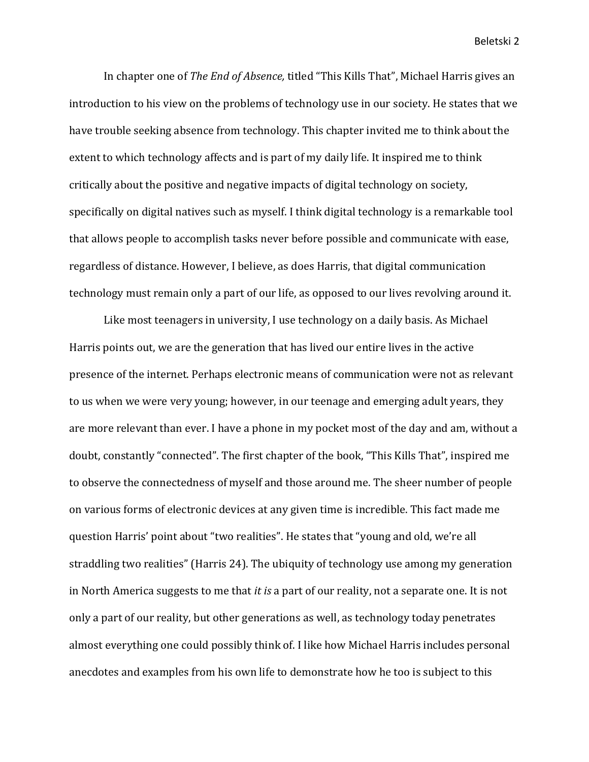In chapter one of *The End of Absence,* titled "This Kills That", Michael Harris gives an introduction to his view on the problems of technology use in our society. He states that we have trouble seeking absence from technology. This chapter invited me to think about the extent to which technology affects and is part of my daily life. It inspired me to think critically about the positive and negative impacts of digital technology on society, specifically on digital natives such as myself. I think digital technology is a remarkable tool that allows people to accomplish tasks never before possible and communicate with ease, regardless of distance. However, I believe, as does Harris, that digital communication technology must remain only a part of our life, as opposed to our lives revolving around it.

Like most teenagers in university, I use technology on a daily basis. As Michael Harris points out, we are the generation that has lived our entire lives in the active presence of the internet. Perhaps electronic means of communication were not as relevant to us when we were very young; however, in our teenage and emerging adult years, they are more relevant than ever. I have a phone in my pocket most of the day and am, without a doubt, constantly "connected". The first chapter of the book, "This Kills That", inspired me to observe the connectedness of myself and those around me. The sheer number of people on various forms of electronic devices at any given time is incredible. This fact made me question Harris' point about "two realities". He states that "young and old, we're all straddling two realities" (Harris 24). The ubiquity of technology use among my generation in North America suggests to me that *it is* a part of our reality, not a separate one. It is not only a part of our reality, but other generations as well, as technology today penetrates almost everything one could possibly think of. I like how Michael Harris includes personal anecdotes and examples from his own life to demonstrate how he too is subject to this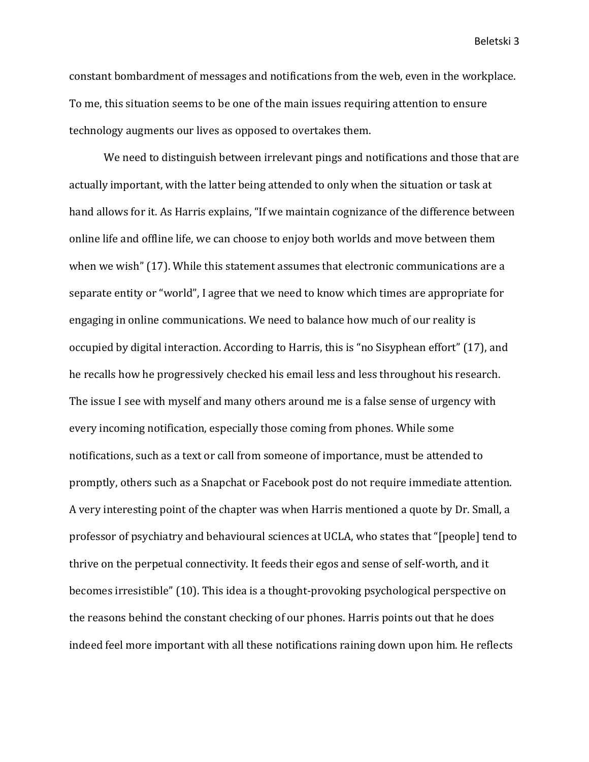constant bombardment of messages and notifications from the web, even in the workplace. To me, this situation seems to be one of the main issues requiring attention to ensure technology augments our lives as opposed to overtakes them.

We need to distinguish between irrelevant pings and notifications and those that are actually important, with the latter being attended to only when the situation or task at hand allows for it. As Harris explains, "If we maintain cognizance of the difference between online life and offline life, we can choose to enjoy both worlds and move between them when we wish" (17). While this statement assumes that electronic communications are a separate entity or "world", I agree that we need to know which times are appropriate for engaging in online communications. We need to balance how much of our reality is occupied by digital interaction. According to Harris, this is "no Sisyphean effort" (17), and he recalls how he progressively checked his email less and less throughout his research. The issue I see with myself and many others around me is a false sense of urgency with every incoming notification, especially those coming from phones. While some notifications, such as a text or call from someone of importance, must be attended to promptly, others such as a Snapchat or Facebook post do not require immediate attention. A very interesting point of the chapter was when Harris mentioned a quote by Dr. Small, a professor of psychiatry and behavioural sciences at UCLA, who states that "[people] tend to thrive on the perpetual connectivity. It feeds their egos and sense of self-worth, and it becomes irresistible" (10). This idea is a thought-provoking psychological perspective on the reasons behind the constant checking of our phones. Harris points out that he does indeed feel more important with all these notifications raining down upon him. He reflects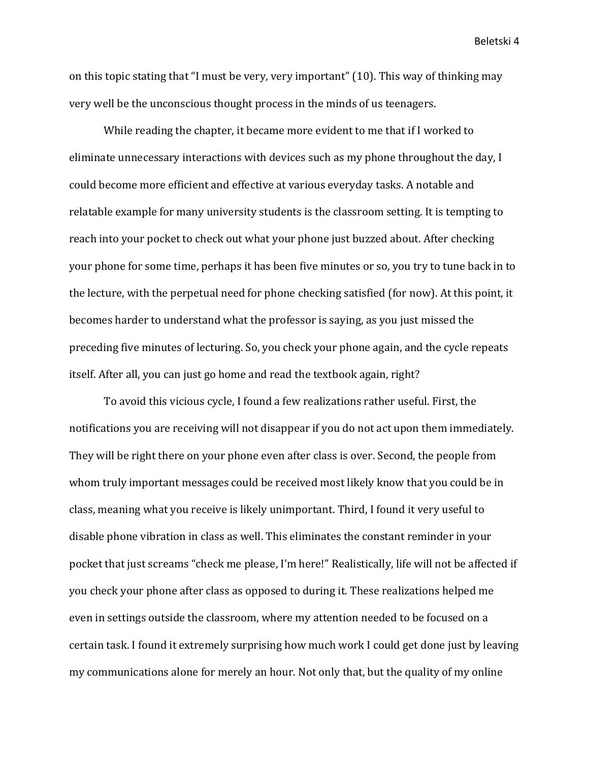on this topic stating that "I must be very, very important" (10). This way of thinking may very well be the unconscious thought process in the minds of us teenagers.

While reading the chapter, it became more evident to me that if I worked to eliminate unnecessary interactions with devices such as my phone throughout the day, I could become more efficient and effective at various everyday tasks. A notable and relatable example for many university students is the classroom setting. It is tempting to reach into your pocket to check out what your phone just buzzed about. After checking your phone for some time, perhaps it has been five minutes or so, you try to tune back in to the lecture, with the perpetual need for phone checking satisfied (for now). At this point, it becomes harder to understand what the professor is saying, as you just missed the preceding five minutes of lecturing. So, you check your phone again, and the cycle repeats itself. After all, you can just go home and read the textbook again, right?

To avoid this vicious cycle, I found a few realizations rather useful. First, the notifications you are receiving will not disappear if you do not act upon them immediately. They will be right there on your phone even after class is over. Second, the people from whom truly important messages could be received most likely know that you could be in class, meaning what you receive is likely unimportant. Third, I found it very useful to disable phone vibration in class as well. This eliminates the constant reminder in your pocket that just screams "check me please, I'm here!" Realistically, life will not be affected if you check your phone after class as opposed to during it. These realizations helped me even in settings outside the classroom, where my attention needed to be focused on a certain task. I found it extremely surprising how much work I could get done just by leaving my communications alone for merely an hour. Not only that, but the quality of my online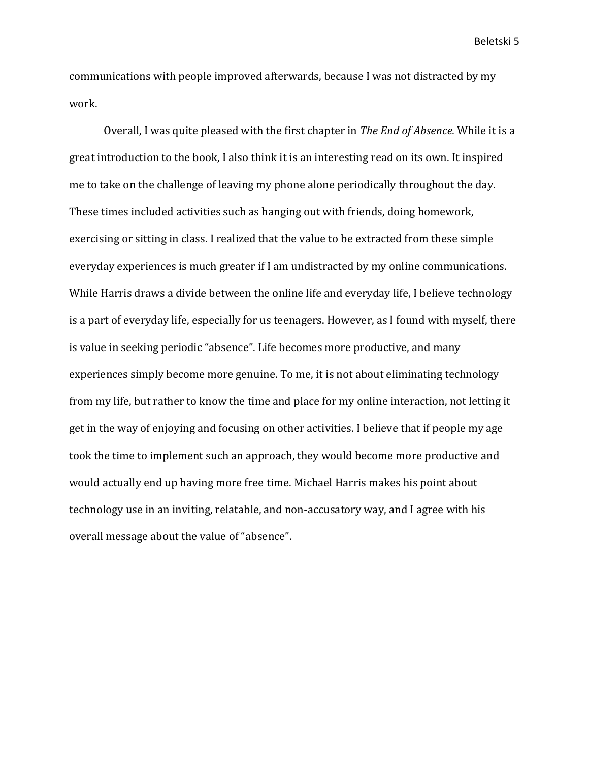communications with people improved afterwards, because I was not distracted by my work.

Overall, I was quite pleased with the first chapter in *The End of Absence.* While it is a great introduction to the book, I also think it is an interesting read on its own. It inspired me to take on the challenge of leaving my phone alone periodically throughout the day. These times included activities such as hanging out with friends, doing homework, exercising or sitting in class. I realized that the value to be extracted from these simple everyday experiences is much greater if I am undistracted by my online communications. While Harris draws a divide between the online life and everyday life, I believe technology is a part of everyday life, especially for us teenagers. However, as I found with myself, there is value in seeking periodic "absence". Life becomes more productive, and many experiences simply become more genuine. To me, it is not about eliminating technology from my life, but rather to know the time and place for my online interaction, not letting it get in the way of enjoying and focusing on other activities. I believe that if people my age took the time to implement such an approach, they would become more productive and would actually end up having more free time. Michael Harris makes his point about technology use in an inviting, relatable, and non-accusatory way, and I agree with his overall message about the value of "absence".